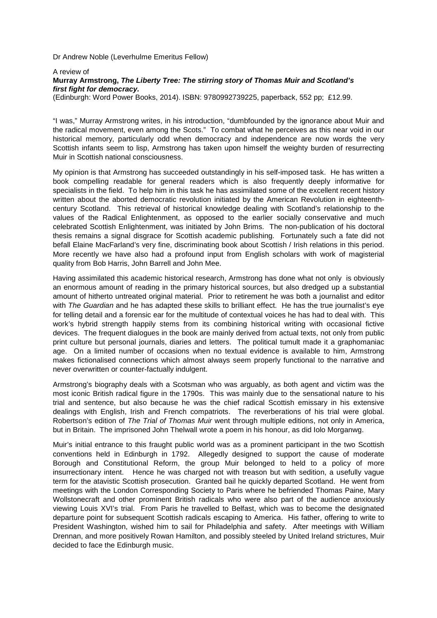Dr Andrew Noble (Leverhulme Emeritus Fellow)

## A review of **Murray Armstrong, The Liberty Tree: The stirring story of Thomas Muir and Scotland's first fight for democracy.**

(Edinburgh: Word Power Books, 2014). ISBN: 9780992739225, paperback, 552 pp; £12.99.

"I was," Murray Armstrong writes, in his introduction, "dumbfounded by the ignorance about Muir and the radical movement, even among the Scots." To combat what he perceives as this near void in our historical memory, particularly odd when democracy and independence are now words the very Scottish infants seem to lisp, Armstrong has taken upon himself the weighty burden of resurrecting Muir in Scottish national consciousness.

My opinion is that Armstrong has succeeded outstandingly in his self-imposed task. He has written a book compelling readable for general readers which is also frequently deeply informative for specialists in the field. To help him in this task he has assimilated some of the excellent recent history written about the aborted democratic revolution initiated by the American Revolution in eighteenthcentury Scotland. This retrieval of historical knowledge dealing with Scotland's relationship to the values of the Radical Enlightenment, as opposed to the earlier socially conservative and much celebrated Scottish Enlightenment, was initiated by John Brims. The non-publication of his doctoral thesis remains a signal disgrace for Scottish academic publishing. Fortunately such a fate did not befall Elaine MacFarland's very fine, discriminating book about Scottish / Irish relations in this period. More recently we have also had a profound input from English scholars with work of magisterial quality from Bob Harris, John Barrell and John Mee.

Having assimilated this academic historical research, Armstrong has done what not only is obviously an enormous amount of reading in the primary historical sources, but also dredged up a substantial amount of hitherto untreated original material. Prior to retirement he was both a journalist and editor with The Guardian and he has adapted these skills to brilliant effect. He has the true journalist's eye for telling detail and a forensic ear for the multitude of contextual voices he has had to deal with. This work's hybrid strength happily stems from its combining historical writing with occasional fictive devices. The frequent dialogues in the book are mainly derived from actual texts, not only from public print culture but personal journals, diaries and letters. The political tumult made it a graphomaniac age. On a limited number of occasions when no textual evidence is available to him, Armstrong makes fictionalised connections which almost always seem properly functional to the narrative and never overwritten or counter-factually indulgent.

Armstrong's biography deals with a Scotsman who was arguably, as both agent and victim was the most iconic British radical figure in the 1790s. This was mainly due to the sensational nature to his trial and sentence, but also because he was the chief radical Scottish emissary in his extensive dealings with English, Irish and French compatriots. The reverberations of his trial were global. Robertson's edition of The Trial of Thomas Muir went through multiple editions, not only in America, but in Britain. The imprisoned John Thelwall wrote a poem in his honour, as did Iolo Morganwg.

Muir's initial entrance to this fraught public world was as a prominent participant in the two Scottish conventions held in Edinburgh in 1792. Allegedly designed to support the cause of moderate Borough and Constitutional Reform, the group Muir belonged to held to a policy of more insurrectionary intent. Hence he was charged not with treason but with sedition, a usefully vague term for the atavistic Scottish prosecution. Granted bail he quickly departed Scotland. He went from meetings with the London Corresponding Society to Paris where he befriended Thomas Paine, Mary Wollstonecraft and other prominent British radicals who were also part of the audience anxiously viewing Louis XVI's trial. From Paris he travelled to Belfast, which was to become the designated departure point for subsequent Scottish radicals escaping to America. His father, offering to write to President Washington, wished him to sail for Philadelphia and safety. After meetings with William Drennan, and more positively Rowan Hamilton, and possibly steeled by United Ireland strictures, Muir decided to face the Edinburgh music.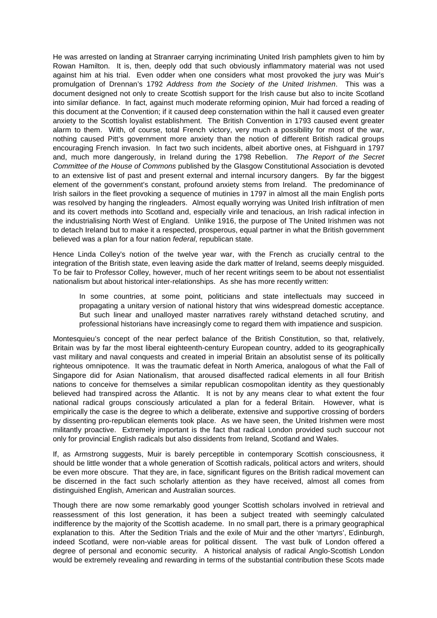He was arrested on landing at Stranraer carrying incriminating United Irish pamphlets given to him by Rowan Hamilton. It is, then, deeply odd that such obviously inflammatory material was not used against him at his trial. Even odder when one considers what most provoked the jury was Muir's promulgation of Drennan's 1792 Address from the Society of the United Irishmen. This was a document designed not only to create Scottish support for the Irish cause but also to incite Scotland into similar defiance. In fact, against much moderate reforming opinion, Muir had forced a reading of this document at the Convention; if it caused deep consternation within the hall it caused even greater anxiety to the Scottish loyalist establishment. The British Convention in 1793 caused event greater alarm to them. With, of course, total French victory, very much a possibility for most of the war, nothing caused Pitt's government more anxiety than the notion of different British radical groups encouraging French invasion. In fact two such incidents, albeit abortive ones, at Fishguard in 1797 and, much more dangerously, in Ireland during the 1798 Rebellion. The Report of the Secret Committee of the House of Commons published by the Glasgow Constitutional Association is devoted to an extensive list of past and present external and internal incursory dangers. By far the biggest element of the government's constant, profound anxiety stems from Ireland. The predominance of Irish sailors in the fleet provoking a sequence of mutinies in 1797 in almost all the main English ports was resolved by hanging the ringleaders. Almost equally worrying was United Irish infiltration of men and its covert methods into Scotland and, especially virile and tenacious, an Irish radical infection in the industrialising North West of England. Unlike 1916, the purpose of The United Irishmen was not to detach Ireland but to make it a respected, prosperous, equal partner in what the British government believed was a plan for a four nation federal, republican state.

Hence Linda Colley's notion of the twelve year war, with the French as crucially central to the integration of the British state, even leaving aside the dark matter of Ireland, seems deeply misguided. To be fair to Professor Colley, however, much of her recent writings seem to be about not essentialist nationalism but about historical inter-relationships. As she has more recently written:

In some countries, at some point, politicians and state intellectuals may succeed in propagating a unitary version of national history that wins widespread domestic acceptance. But such linear and unalloyed master narratives rarely withstand detached scrutiny, and professional historians have increasingly come to regard them with impatience and suspicion.

Montesquieu's concept of the near perfect balance of the British Constitution, so that, relatively, Britain was by far the most liberal eighteenth-century European country, added to its geographically vast military and naval conquests and created in imperial Britain an absolutist sense of its politically righteous omnipotence. It was the traumatic defeat in North America, analogous of what the Fall of Singapore did for Asian Nationalism, that aroused disaffected radical elements in all four British nations to conceive for themselves a similar republican cosmopolitan identity as they questionably believed had transpired across the Atlantic. It is not by any means clear to what extent the four national radical groups consciously articulated a plan for a federal Britain. However, what is empirically the case is the degree to which a deliberate, extensive and supportive crossing of borders by dissenting pro-republican elements took place. As we have seen, the United Irishmen were most militantly proactive. Extremely important is the fact that radical London provided such succour not only for provincial English radicals but also dissidents from Ireland, Scotland and Wales.

If, as Armstrong suggests, Muir is barely perceptible in contemporary Scottish consciousness, it should be little wonder that a whole generation of Scottish radicals, political actors and writers, should be even more obscure. That they are, in face, significant figures on the British radical movement can be discerned in the fact such scholarly attention as they have received, almost all comes from distinguished English, American and Australian sources.

Though there are now some remarkably good younger Scottish scholars involved in retrieval and reassessment of this lost generation, it has been a subject treated with seemingly calculated indifference by the majority of the Scottish academe. In no small part, there is a primary geographical explanation to this. After the Sedition Trials and the exile of Muir and the other 'martyrs', Edinburgh, indeed Scotland, were non-viable areas for political dissent. The vast bulk of London offered a degree of personal and economic security. A historical analysis of radical Anglo-Scottish London would be extremely revealing and rewarding in terms of the substantial contribution these Scots made